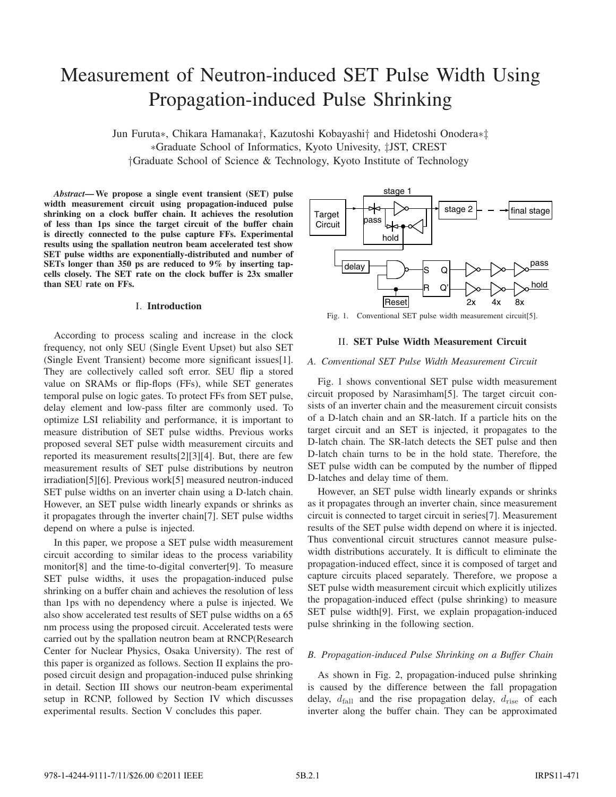# Measurement of Neutron-induced SET Pulse Width Using Propagation-induced Pulse Shrinking

Jun Furuta∗, Chikara Hamanaka†, Kazutoshi Kobayashi† and Hidetoshi Onodera∗‡ ∗Graduate School of Informatics, Kyoto Univesity, ‡JST, CREST †Graduate School of Science & Technology, Kyoto Institute of Technology

*Abstract***—We propose a single event transient (SET) pulse width measurement circuit using propagation-induced pulse shrinking on a clock buffer chain. It achieves the resolution of less than 1ps since the target circuit of the buffer chain is directly connected to the pulse capture FFs. Experimental results using the spallation neutron beam accelerated test show SET pulse widths are exponentially-distributed and number of SETs longer than 350 ps are reduced to 9% by inserting tapcells closely. The SET rate on the clock buffer is 23x smaller than SEU rate on FFs.**

## I. **Introduction**

According to process scaling and increase in the clock frequency, not only SEU (Single Event Upset) but also SET (Single Event Transient) become more significant issues[1]. They are collectively called soft error. SEU flip a stored value on SRAMs or flip-flops (FFs), while SET generates temporal pulse on logic gates. To protect FFs from SET pulse, delay element and low-pass filter are commonly used. To optimize LSI reliability and performance, it is important to measure distribution of SET pulse widths. Previous works proposed several SET pulse width measurement circuits and reported its measurement results[2][3][4]. But, there are few measurement results of SET pulse distributions by neutron irradiation[5][6]. Previous work[5] measured neutron-induced SET pulse widths on an inverter chain using a D-latch chain. However, an SET pulse width linearly expands or shrinks as it propagates through the inverter chain[7]. SET pulse widths depend on where a pulse is injected.

In this paper, we propose a SET pulse width measurement circuit according to similar ideas to the process variability monitor[8] and the time-to-digital converter[9]. To measure SET pulse widths, it uses the propagation-induced pulse shrinking on a buffer chain and achieves the resolution of less than 1ps with no dependency where a pulse is injected. We also show accelerated test results of SET pulse widths on a 65 nm process using the proposed circuit. Accelerated tests were carried out by the spallation neutron beam at RNCP(Research Center for Nuclear Physics, Osaka University). The rest of this paper is organized as follows. Section II explains the proposed circuit design and propagation-induced pulse shrinking in detail. Section III shows our neutron-beam experimental setup in RCNP, followed by Section IV which discusses experimental results. Section V concludes this paper.



Fig. 1. Conventional SET pulse width measurement circuit[5].

## II. **SET Pulse Width Measurement Circuit**

## *A. Conventional SET Pulse Width Measurement Circuit*

Fig. 1 shows conventional SET pulse width measurement circuit proposed by Narasimham[5]. The target circuit consists of an inverter chain and the measurement circuit consists of a D-latch chain and an SR-latch. If a particle hits on the target circuit and an SET is injected, it propagates to the D-latch chain. The SR-latch detects the SET pulse and then D-latch chain turns to be in the hold state. Therefore, the SET pulse width can be computed by the number of flipped D-latches and delay time of them.

However, an SET pulse width linearly expands or shrinks as it propagates through an inverter chain, since measurement circuit is connected to target circuit in series[7]. Measurement results of the SET pulse width depend on where it is injected. Thus conventional circuit structures cannot measure pulsewidth distributions accurately. It is difficult to eliminate the propagation-induced effect, since it is composed of target and capture circuits placed separately. Therefore, we propose a SET pulse width measurement circuit which explicitly utilizes the propagation-induced effect (pulse shrinking) to measure SET pulse width[9]. First, we explain propagation-induced pulse shrinking in the following section.

#### *B. Propagation-induced Pulse Shrinking on a Buffer Chain*

As shown in Fig. 2, propagation-induced pulse shrinking is caused by the difference between the fall propagation delay,  $d_{fall}$  and the rise propagation delay,  $d_{rise}$  of each inverter along the buffer chain. They can be approximated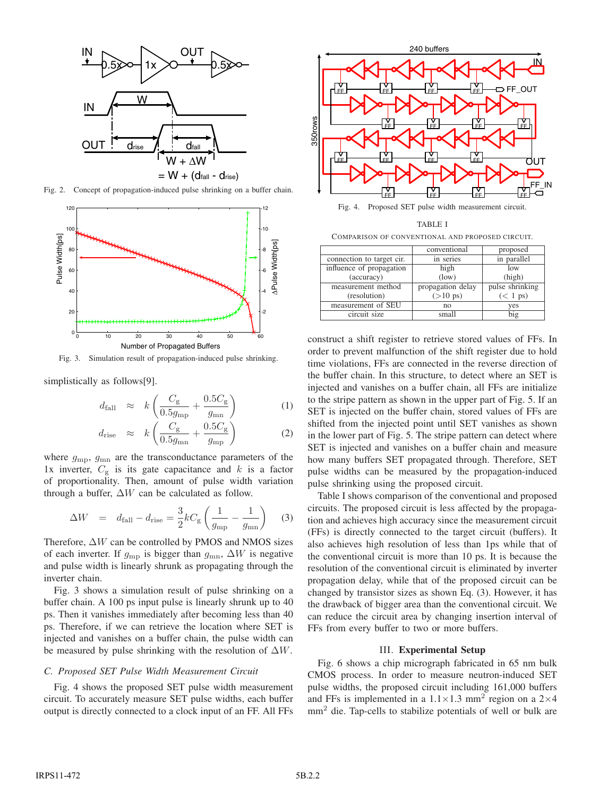

Fig. 2. Concept of propagation-induced pulse shrinking on a buffer chain.



Fig. 3. Simulation result of propagation-induced pulse shrinking.

simplistically as follows[9].

$$
d_{\text{fall}} \approx k \left( \frac{C_{\text{g}}}{0.5g_{\text{mp}}} + \frac{0.5C_{\text{g}}}{g_{\text{mn}}} \right) \tag{1}
$$

$$
d_{\rm rise} \approx k \left( \frac{C_{\rm g}}{0.5g_{\rm mn}} + \frac{0.5C_{\rm g}}{g_{\rm mp}} \right) \tag{2}
$$

where  $g_{\text{mp}}$ ,  $g_{\text{mn}}$  are the transconductance parameters of the 1x inverter,  $C_{\rm g}$  is its gate capacitance and  $k$  is a factor of proportionality. Then, amount of pulse width variation through a buffer,  $\Delta W$  can be calculated as follow.

$$
\Delta W = d_{\text{fall}} - d_{\text{rise}} = \frac{3}{2} k C_{\text{g}} \left( \frac{1}{g_{\text{mp}}} - \frac{1}{g_{\text{mn}}} \right) \tag{3}
$$

Therefore, Δ*W* can be controlled by PMOS and NMOS sizes of each inverter. If  $g_{mn}$  is bigger than  $g_{mn}$ ,  $\Delta W$  is negative and pulse width is linearly shrunk as propagating through the inverter chain.

Fig. 3 shows a simulation result of pulse shrinking on a buffer chain. A 100 ps input pulse is linearly shrunk up to 40 ps. Then it vanishes immediately after becoming less than 40 ps. Therefore, if we can retrieve the location where SET is injected and vanishes on a buffer chain, the pulse width can be measured by pulse shrinking with the resolution of Δ*W*.

#### *C. Proposed SET Pulse Width Measurement Circuit*

Fig. 4 shows the proposed SET pulse width measurement circuit. To accurately measure SET pulse widths, each buffer output is directly connected to a clock input of an FF. All FFs



Fig. 4. Proposed SET pulse width measurement circuit.

|                                                  | TABLE I     |   |
|--------------------------------------------------|-------------|---|
| COMPARISON OF CONVENTIONAL AND PROPOSED CIRCUIT. |             |   |
|                                                  | aanvantanal | J |

|                           | conventional       | proposed           |
|---------------------------|--------------------|--------------------|
| connection to target cir. | in series          | in parallel        |
| influence of propagation  | high               | low                |
| (accuracy)                | (low)              | (high)             |
| measurement method        | propagation delay  | pulse shrinking    |
| (resolution)              | $(>10 \text{ ps})$ | $(< 1 \text{ ps})$ |
| measurement of SEU        | no                 | yes                |
| circuit size              | small              | big                |

construct a shift register to retrieve stored values of FFs. In order to prevent malfunction of the shift register due to hold time violations, FFs are connected in the reverse direction of the buffer chain. In this structure, to detect where an SET is injected and vanishes on a buffer chain, all FFs are initialize to the stripe pattern as shown in the upper part of Fig. 5. If an SET is injected on the buffer chain, stored values of FFs are shifted from the injected point until SET vanishes as shown in the lower part of Fig. 5. The stripe pattern can detect where SET is injected and vanishes on a buffer chain and measure how many buffers SET propagated through. Therefore, SET pulse widths can be measured by the propagation-induced pulse shrinking using the proposed circuit.

Table I shows comparison of the conventional and proposed circuits. The proposed circuit is less affected by the propagation and achieves high accuracy since the measurement circuit (FFs) is directly connected to the target circuit (buffers). It also achieves high resolution of less than 1ps while that of the conventional circuit is more than 10 ps. It is because the resolution of the conventional circuit is eliminated by inverter propagation delay, while that of the proposed circuit can be changed by transistor sizes as shown Eq. (3). However, it has the drawback of bigger area than the conventional circuit. We can reduce the circuit area by changing insertion interval of FFs from every buffer to two or more buffers.

#### III. **Experimental Setup**

Fig. 6 shows a chip micrograph fabricated in 65 nm bulk CMOS process. In order to measure neutron-induced SET pulse widths, the proposed circuit including 161,000 buffers and FFs is implemented in a  $1.1 \times 1.3$  mm<sup>2</sup> region on a  $2 \times 4$  $mm<sup>2</sup>$  die. Tap-cells to stabilize potentials of well or bulk are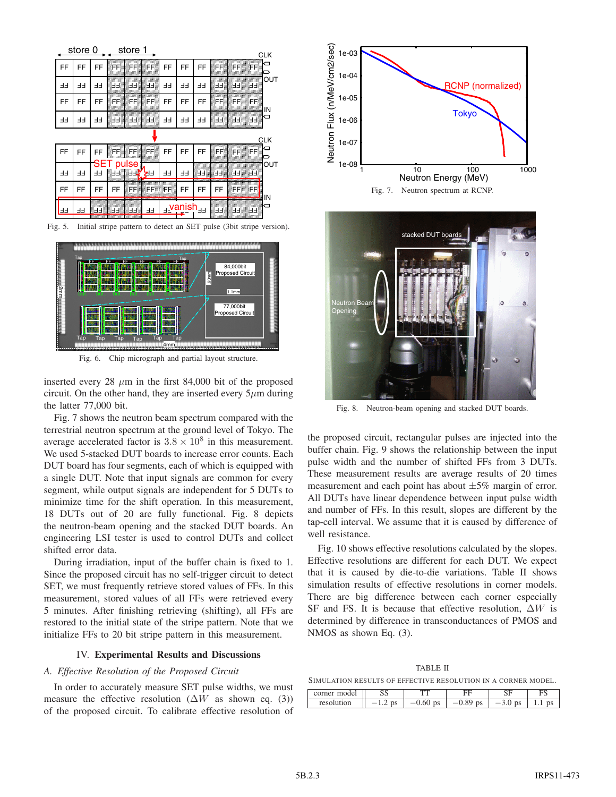

Fig. 5. Initial stripe pattern to detect an SET pulse (3bit stripe version).



Fig. 6. Chip micrograph and partial layout structure.

inserted every 28  $\mu$ m in the first 84,000 bit of the proposed circuit. On the other hand, they are inserted every  $5\mu$ m during the latter 77,000 bit.

Fig. 7 shows the neutron beam spectrum compared with the terrestrial neutron spectrum at the ground level of Tokyo. The average accelerated factor is  $3.8 \times 10^8$  in this measurement. We used 5-stacked DUT boards to increase error counts. Each DUT board has four segments, each of which is equipped with a single DUT. Note that input signals are common for every segment, while output signals are independent for 5 DUTs to minimize time for the shift operation. In this measurement, 18 DUTs out of 20 are fully functional. Fig. 8 depicts the neutron-beam opening and the stacked DUT boards. An engineering LSI tester is used to control DUTs and collect shifted error data.

During irradiation, input of the buffer chain is fixed to 1. Since the proposed circuit has no self-trigger circuit to detect SET, we must frequently retrieve stored values of FFs. In this measurement, stored values of all FFs were retrieved every 5 minutes. After finishing retrieving (shifting), all FFs are restored to the initial state of the stripe pattern. Note that we initialize FFs to 20 bit stripe pattern in this measurement.

#### IV. **Experimental Results and Discussions**

## *A. Effective Resolution of the Proposed Circuit*

In order to accurately measure SET pulse widths, we must measure the effective resolution  $(\Delta W)$  as shown eq. (3)) of the proposed circuit. To calibrate effective resolution of





Fig. 8. Neutron-beam opening and stacked DUT boards.

the proposed circuit, rectangular pulses are injected into the buffer chain. Fig. 9 shows the relationship between the input pulse width and the number of shifted FFs from 3 DUTs. These measurement results are average results of 20 times measurement and each point has about  $\pm 5\%$  margin of error. All DUTs have linear dependence between input pulse width and number of FFs. In this result, slopes are different by the tap-cell interval. We assume that it is caused by difference of well resistance.

Fig. 10 shows effective resolutions calculated by the slopes. Effective resolutions are different for each DUT. We expect that it is caused by die-to-die variations. Table II shows simulation results of effective resolutions in corner models. There are big difference between each corner especially SF and FS. It is because that effective resolution, Δ*W* is determined by difference in transconductances of PMOS and NMOS as shown Eq. (3).

TABLE II SIMULATION RESULTS OF EFFECTIVE RESOLUTION IN A CORNER MODEL.

| moder<br>orner: | ນມ            | mm         | --         | oπ<br>້                    | -<br>⊥ພ |
|-----------------|---------------|------------|------------|----------------------------|---------|
| resolution      | μə<br>$\cdot$ | v.vv<br>υs | ps<br>v.o> | _<br>υə<br>$\cup$ . $\cup$ | υs<br>. |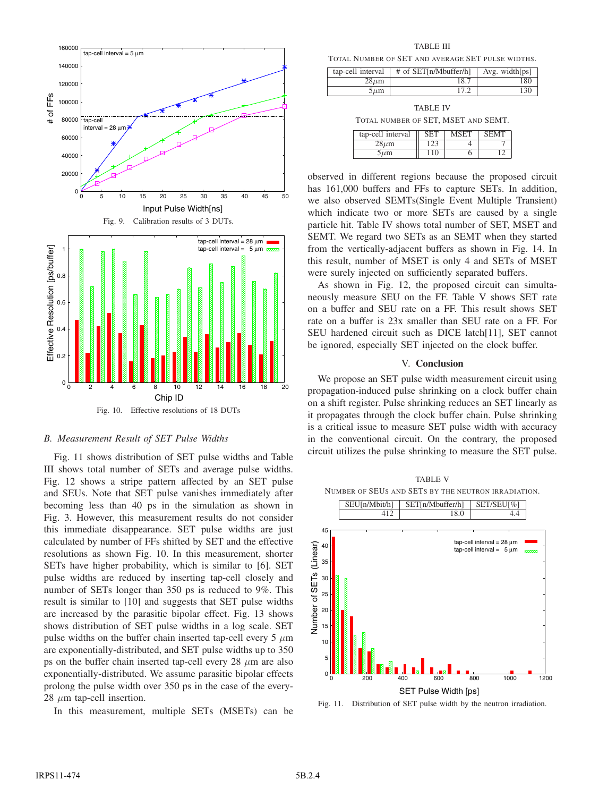

#### *B. Measurement Result of SET Pulse Widths*

Fig. 11 shows distribution of SET pulse widths and Table III shows total number of SETs and average pulse widths. Fig. 12 shows a stripe pattern affected by an SET pulse and SEUs. Note that SET pulse vanishes immediately after becoming less than 40 ps in the simulation as shown in Fig. 3. However, this measurement results do not consider this immediate disappearance. SET pulse widths are just calculated by number of FFs shifted by SET and the effective resolutions as shown Fig. 10. In this measurement, shorter SETs have higher probability, which is similar to [6]. SET pulse widths are reduced by inserting tap-cell closely and number of SETs longer than 350 ps is reduced to 9%. This result is similar to [10] and suggests that SET pulse widths are increased by the parasitic bipolar effect. Fig. 13 shows shows distribution of SET pulse widths in a log scale. SET pulse widths on the buffer chain inserted tap-cell every 5  $\mu$ m are exponentially-distributed, and SET pulse widths up to 350 ps on the buffer chain inserted tap-cell every 28 *µ*m are also exponentially-distributed. We assume parasitic bipolar effects prolong the pulse width over 350 ps in the case of the every-28 *µ*m tap-cell insertion.

In this measurement, multiple SETs (MSETs) can be

TABLE III

TOTAL NUMBER OF SET AND AVERAGE SET PULSE WIDTHS.

| tap-cell interval | # of SET[n/Mbuffer/h] | Avg. width $[ps]$ |
|-------------------|-----------------------|-------------------|
| 28 um             | 18.7                  | 180               |
| $5 \mu m$         |                       | 130               |

TABLE IV TOTAL NUMBER OF SET, MSET AND SEMT.

| tap-cell interval |  | <b>SEMT</b> |
|-------------------|--|-------------|
| 28 µm             |  |             |
| $5 \mu m$         |  |             |

observed in different regions because the proposed circuit has 161,000 buffers and FFs to capture SETs. In addition, we also observed SEMTs(Single Event Multiple Transient) which indicate two or more SETs are caused by a single particle hit. Table IV shows total number of SET, MSET and SEMT. We regard two SETs as an SEMT when they started from the vertically-adjacent buffers as shown in Fig. 14. In this result, number of MSET is only 4 and SETs of MSET were surely injected on sufficiently separated buffers.

As shown in Fig. 12, the proposed circuit can simultaneously measure SEU on the FF. Table V shows SET rate on a buffer and SEU rate on a FF. This result shows SET rate on a buffer is 23x smaller than SEU rate on a FF. For SEU hardened circuit such as DICE latch[11], SET cannot be ignored, especially SET injected on the clock buffer.

## V. **Conclusion**

We propose an SET pulse width measurement circuit using propagation-induced pulse shrinking on a clock buffer chain on a shift register. Pulse shrinking reduces an SET linearly as it propagates through the clock buffer chain. Pulse shrinking is a critical issue to measure SET pulse width with accuracy in the conventional circuit. On the contrary, the proposed circuit utilizes the pulse shrinking to measure the SET pulse.



Fig. 11. Distribution of SET pulse width by the neutron irradiation.